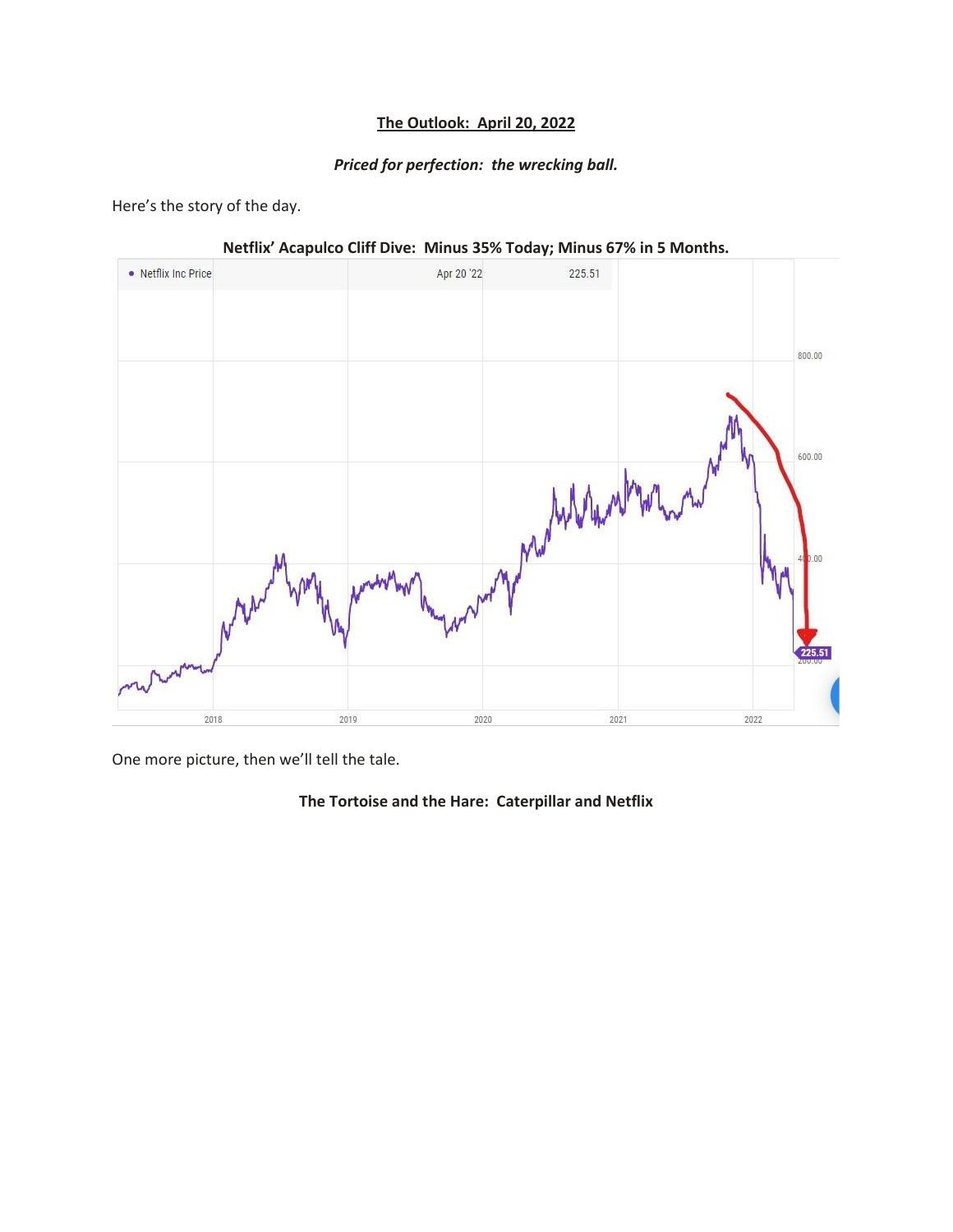## **The Outlook: April 20, 2022**

## *Priced for perfection: the wrecking ball.*

Here's the story of the day.



**Netflix' Acapulco Cliff Dive: Minus 35% Today; Minus 67% in 5 Months.**

One more picture, then we'll tell the tale.

## **The Tortoise and the Hare: Caterpillar and Netflix**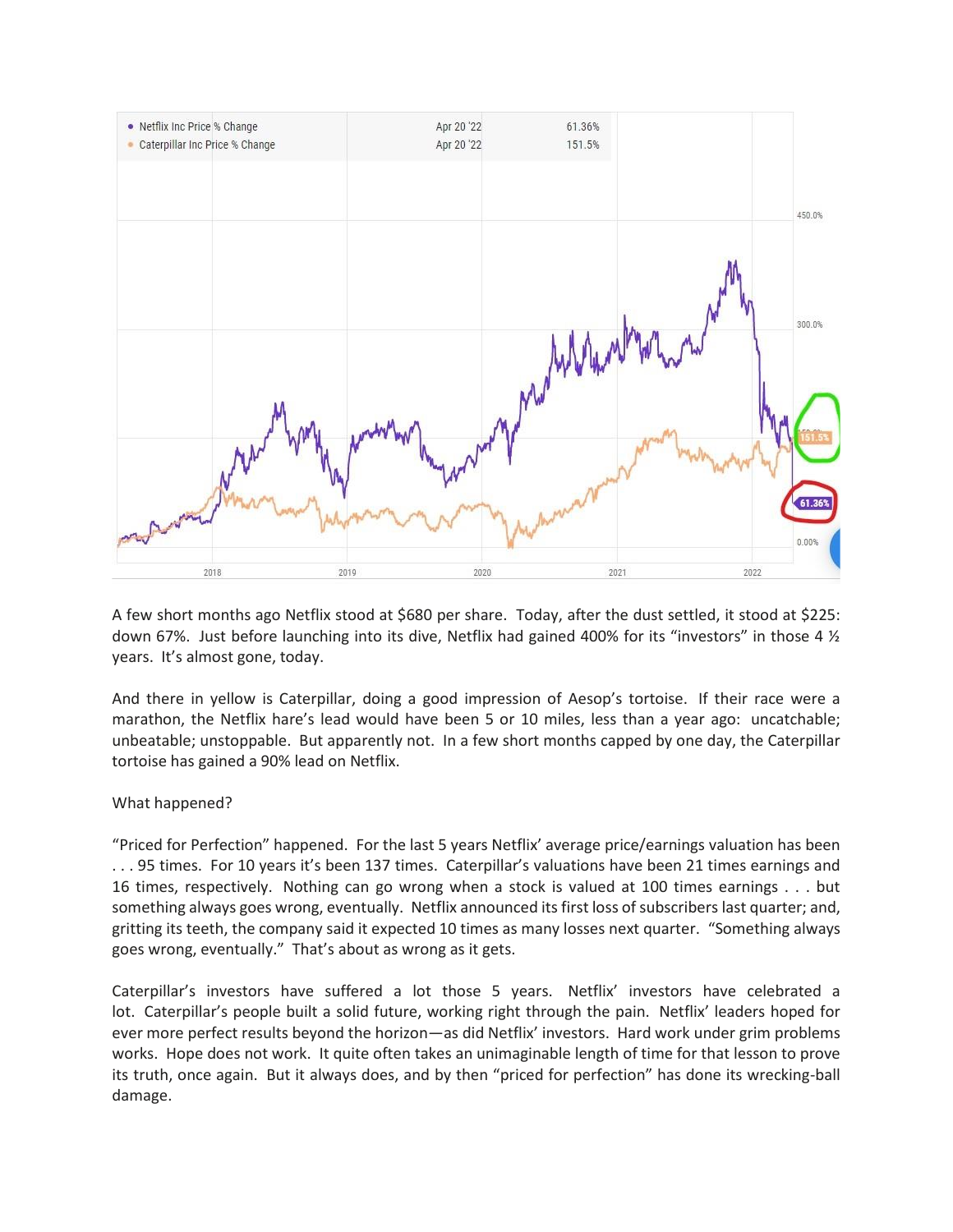

A few short months ago Netflix stood at \$680 per share. Today, after the dust settled, it stood at \$225: down 67%. Just before launching into its dive, Netflix had gained 400% for its "investors" in those 4 ½ years. It's almost gone, today.

And there in yellow is Caterpillar, doing a good impression of Aesop's tortoise. If their race were a marathon, the Netflix hare's lead would have been 5 or 10 miles, less than a year ago: uncatchable; unbeatable; unstoppable. But apparently not. In a few short months capped by one day, the Caterpillar tortoise has gained a 90% lead on Netflix.

## What happened?

"Priced for Perfection" happened. For the last 5 years Netflix' average price/earnings valuation has been . . . 95 times. For 10 years it's been 137 times. Caterpillar's valuations have been 21 times earnings and 16 times, respectively. Nothing can go wrong when a stock is valued at 100 times earnings . . . but something always goes wrong, eventually. Netflix announced its first loss of subscribers last quarter; and, gritting its teeth, the company said it expected 10 times as many losses next quarter. "Something always goes wrong, eventually." That's about as wrong as it gets.

Caterpillar's investors have suffered a lot those 5 years. Netflix' investors have celebrated a lot. Caterpillar's people built a solid future, working right through the pain. Netflix' leaders hoped for ever more perfect results beyond the horizon—as did Netflix' investors. Hard work under grim problems works. Hope does not work. It quite often takes an unimaginable length of time for that lesson to prove its truth, once again. But it always does, and by then "priced for perfection" has done its wrecking-ball damage.